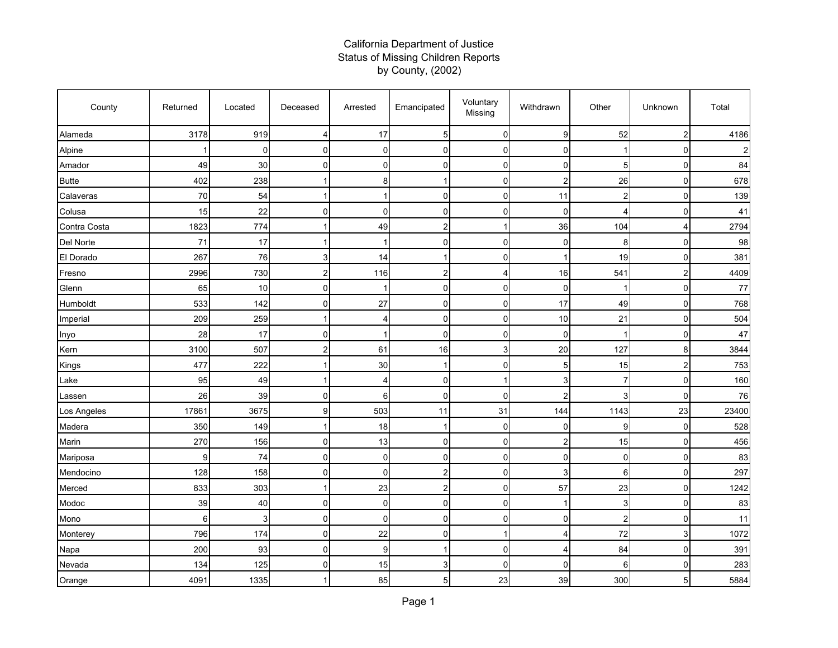## California Department of Justice Status of Missing Children Reports by County, (2002)

| County       | Returned | Located     | Deceased       | Arrested       | Emancipated    | Voluntary<br>Missing | Withdrawn      | Other          | Unknown                 | Total |
|--------------|----------|-------------|----------------|----------------|----------------|----------------------|----------------|----------------|-------------------------|-------|
| Alameda      | 3178     | 919         | 4              | 17             | 5              | $\mathbf 0$          | 9              | 52             | $\overline{\mathbf{c}}$ | 4186  |
| Alpine       |          | $\mathbf 0$ | $\overline{0}$ | 0              | $\Omega$       | $\mathbf 0$          | $\mathbf 0$    |                | 0                       |       |
| Amador       | 49       | 30          | $\Omega$       | $\mathbf 0$    | $\Omega$       | $\mathbf 0$          | 0              | 5              | 0                       | 84    |
| <b>Butte</b> | 402      | 238         |                | 8              |                | $\mathbf 0$          | $\overline{c}$ | 26             | 0                       | 678   |
| Calaveras    | 70       | 54          |                |                | $\Omega$       | $\mathbf 0$          | 11             | $\overline{c}$ | $\mathbf 0$             | 139   |
| Colusa       | 15       | 22          | $\overline{0}$ | $\mathbf 0$    | 0              | $\pmb{0}$            | $\mathbf 0$    | 4              | 0                       | 41    |
| Contra Costa | 1823     | 774         | 1              | 49             | 2              | $\mathbf{1}$         | 36             | 104            | 4                       | 2794  |
| Del Norte    | 71       | 17          |                | 1              | $\Omega$       | $\overline{0}$       | 0              | 8              | 0                       | 98    |
| El Dorado    | 267      | 76          | $\overline{3}$ | 14             |                | $\mathbf 0$          | -1             | 19             | 0                       | 381   |
| Fresno       | 2996     | 730         | $\overline{a}$ | 116            | $\overline{c}$ | 4                    | 16             | 541            | $\overline{\mathbf{c}}$ | 4409  |
| Glenn        | 65       | 10          | $\overline{0}$ | 1              | 0              | $\overline{0}$       | 0              |                | 0                       | 77    |
| Humboldt     | 533      | 142         | $\overline{0}$ | 27             | 0              | $\overline{0}$       | 17             | 49             | $\mathbf 0$             | 768   |
| Imperial     | 209      | 259         |                | 4              | $\Omega$       | $\mathbf 0$          | 10             | 21             | $\mathbf 0$             | 504   |
| Inyo         | 28       | 17          | $\Omega$       | 1              | $\Omega$       | $\mathbf 0$          | $\mathbf 0$    |                | 0                       | 47    |
| Kern         | 3100     | 507         | 2 <sup>1</sup> | 61             | 16             | 3                    | 20             | 127            | 8                       | 3844  |
| Kings        | 477      | 222         |                | 30             |                | $\overline{0}$       | 5              | 15             | $\overline{\mathbf{c}}$ | 753   |
| Lake         | 95       | 49          | 1              | 4              | $\Omega$       | $\mathbf{1}$         | 3              | $\overline{7}$ | 0                       | 160   |
| Lassen       | 26       | 39          | $\overline{0}$ | 6              | $\Omega$       | $\overline{0}$       | $\overline{2}$ | 3              | 0                       | 76    |
| Los Angeles  | 17861    | 3675        | 9              | 503            | 11             | 31                   | 144            | 1143           | 23                      | 23400 |
| Madera       | 350      | 149         | 1              | 18             | ٠              | $\overline{0}$       | 0              | 9              | 0                       | 528   |
| Marin        | 270      | 156         | $\Omega$       | 13             | $\Omega$       | $\mathbf 0$          | $\overline{c}$ | 15             | 0                       | 456   |
| Mariposa     | 9        | 74          | $\Omega$       | $\mathbf 0$    | 0              | $\mathbf 0$          | $\mathbf 0$    | $\mathbf 0$    | 0                       | 83    |
| Mendocino    | 128      | 158         | $\overline{0}$ | $\mathbf 0$    | $\overline{c}$ | $\mathbf 0$          | 3              | 6              | 0                       | 297   |
| Merced       | 833      | 303         |                | 23             | 2              | $\mathbf 0$          | 57             | 23             | 0                       | 1242  |
| Modoc        | 39       | 40          | $\overline{0}$ | $\overline{0}$ | $\Omega$       | $\mathbf 0$          |                | 3              | $\mathbf 0$             | 83    |
| Mono         | 6        | 3           | $\Omega$       | $\mathbf 0$    | 0              | $\mathbf 0$          | $\mathbf 0$    | $\overline{c}$ | 0                       | 11    |
| Monterey     | 796      | 174         | $\overline{0}$ | 22             | 0              | $\mathbf{1}$         | 4              | 72             | 3                       | 1072  |
| Napa         | 200      | 93          | $\overline{0}$ | 9              | 1              | $\overline{0}$       | $\overline{4}$ | 84             | 0                       | 391   |
| Nevada       | 134      | 125         | $\Omega$       | 15             | 3              | $\mathbf 0$          | $\mathbf 0$    | 6              | $\mathbf 0$             | 283   |
| Orange       | 4091     | 1335        |                | 85             | 5              | 23                   | 39             | 300            | 5                       | 5884  |